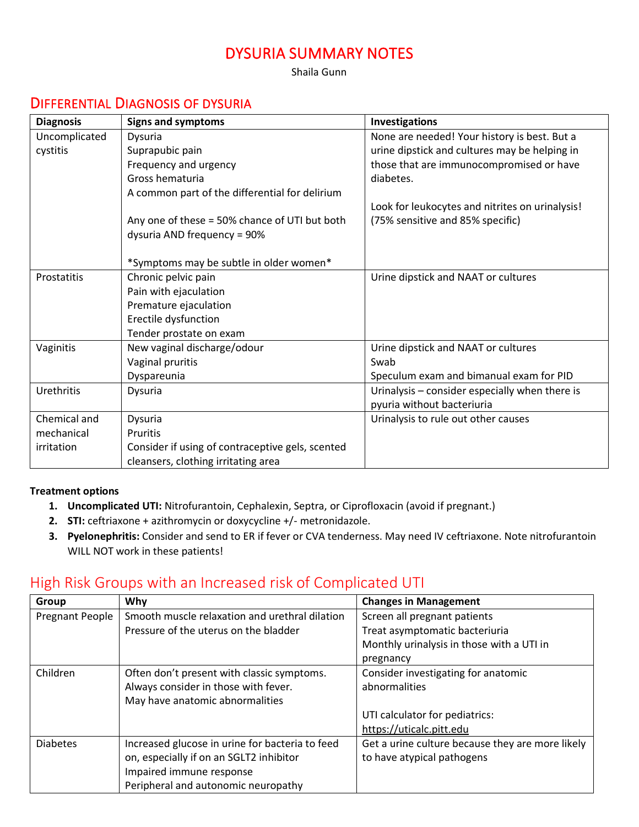## DYSURIA SUMMARY NOTES

Shaila Gunn

### DIFFERENTIAL DIAGNOSIS OF DYSURIA

| <b>Diagnosis</b> | <b>Signs and symptoms</b>                        | Investigations                                  |
|------------------|--------------------------------------------------|-------------------------------------------------|
| Uncomplicated    | Dysuria                                          | None are needed! Your history is best. But a    |
| cystitis         | Suprapubic pain                                  | urine dipstick and cultures may be helping in   |
|                  | Frequency and urgency                            | those that are immunocompromised or have        |
|                  | Gross hematuria                                  | diabetes.                                       |
|                  | A common part of the differential for delirium   |                                                 |
|                  |                                                  | Look for leukocytes and nitrites on urinalysis! |
|                  | Any one of these = 50% chance of UTI but both    | (75% sensitive and 85% specific)                |
|                  | dysuria AND frequency = 90%                      |                                                 |
|                  |                                                  |                                                 |
|                  | *Symptoms may be subtle in older women*          |                                                 |
| Prostatitis      | Chronic pelvic pain                              | Urine dipstick and NAAT or cultures             |
|                  | Pain with ejaculation                            |                                                 |
|                  | Premature ejaculation                            |                                                 |
|                  | Erectile dysfunction                             |                                                 |
|                  | Tender prostate on exam                          |                                                 |
| Vaginitis        | New vaginal discharge/odour                      | Urine dipstick and NAAT or cultures             |
|                  | Vaginal pruritis                                 | Swab                                            |
|                  | Dyspareunia                                      | Speculum exam and bimanual exam for PID         |
| Urethritis       | Dysuria                                          | Urinalysis - consider especially when there is  |
|                  |                                                  | pyuria without bacteriuria                      |
| Chemical and     | Dysuria                                          | Urinalysis to rule out other causes             |
| mechanical       | <b>Pruritis</b>                                  |                                                 |
| irritation       | Consider if using of contraceptive gels, scented |                                                 |
|                  | cleansers, clothing irritating area              |                                                 |

#### **Treatment options**

- **1. Uncomplicated UTI:** Nitrofurantoin, Cephalexin, Septra, or Ciprofloxacin (avoid if pregnant.)
- **2. STI:** ceftriaxone + azithromycin or doxycycline +/- metronidazole.
- **3. Pyelonephritis:** Consider and send to ER if fever or CVA tenderness. May need IV ceftriaxone. Note nitrofurantoin WILL NOT work in these patients!

### High Risk Groups with an Increased risk of Complicated UTI

| Group           | Why                                             | <b>Changes in Management</b>                     |
|-----------------|-------------------------------------------------|--------------------------------------------------|
| Pregnant People | Smooth muscle relaxation and urethral dilation  | Screen all pregnant patients                     |
|                 | Pressure of the uterus on the bladder           | Treat asymptomatic bacteriuria                   |
|                 |                                                 | Monthly urinalysis in those with a UTI in        |
|                 |                                                 | pregnancy                                        |
| Children        | Often don't present with classic symptoms.      | Consider investigating for anatomic              |
|                 | Always consider in those with fever.            | abnormalities                                    |
|                 | May have anatomic abnormalities                 |                                                  |
|                 |                                                 | UTI calculator for pediatrics:                   |
|                 |                                                 | https://uticalc.pitt.edu                         |
| <b>Diabetes</b> | Increased glucose in urine for bacteria to feed | Get a urine culture because they are more likely |
|                 | on, especially if on an SGLT2 inhibitor         | to have atypical pathogens                       |
|                 | Impaired immune response                        |                                                  |
|                 | Peripheral and autonomic neuropathy             |                                                  |